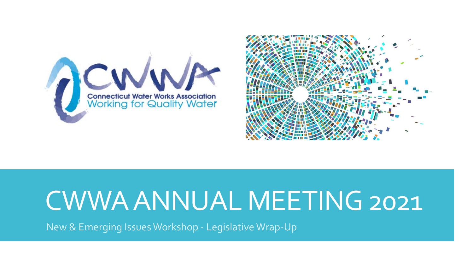



## CWWA ANNUAL MEETING 2021

New & Emerging Issues Workshop - Legislative Wrap-Up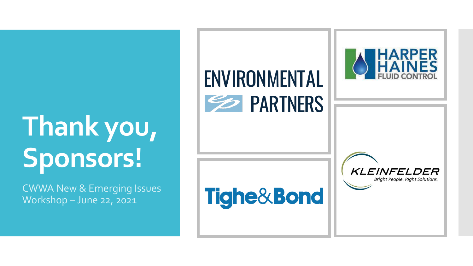# **Thank you, Sponsors!**

CWWA New & Emerging Issues Workshop – June 22, 2021

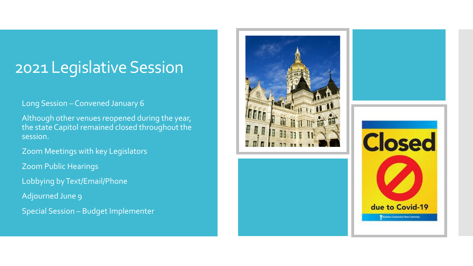#### 2021 Legislative Session

#### Long Session – Convened January 6

 Although other venues reopened during the year, the state Capitol remained closed throughout the session.

Zoom Meetings with key Legislators

Zoom Public Hearings

Lobbying by Text/Email/Phone

Adjourned June 9

Special Session – Budget Implementer



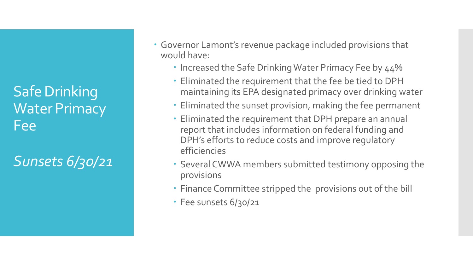Safe Drinking Water Primacy Fee

*Sunsets 6/30/21*

- Governor Lamont's revenue package included provisions that would have:
	- Increased the Safe Drinking Water Primacy Fee by 44%
	- Eliminated the requirement that the fee be tied to DPH maintaining its EPA designated primacy over drinking water
	- Eliminated the sunset provision, making the fee permanent
	- Eliminated the requirement that DPH prepare an annual report that includes information on federal funding and DPH's efforts to reduce costs and improve regulatory efficiencies
	- Several CWWA members submitted testimony opposing the provisions
	- Finance Committee stripped the provisions out of the bill
	- Fee sunsets 6/30/21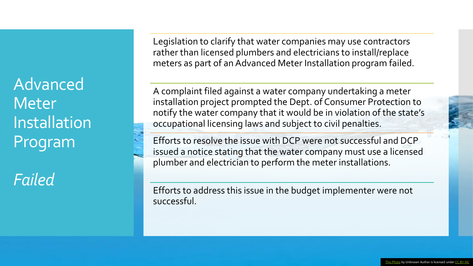Advanced **Meter** Installation Program

*Failed*

Legislation to clarify that water companies may use contractors rather than licensed plumbers and electricians to install/replace meters as part of an Advanced Meter Installation program failed.

A complaint filed against a water company undertaking a meter installation project prompted the Dept. of Consumer Protection to notify the water company that it would be in violation of the state's occupational licensing laws and subject to civil penalties.

Efforts to resolve the issue with DCP were not successful and DCP issued a notice stating that the water company must use a licensed plumber and electrician to perform the meter installations.

Efforts to address this issue in the budget implementer were not successful.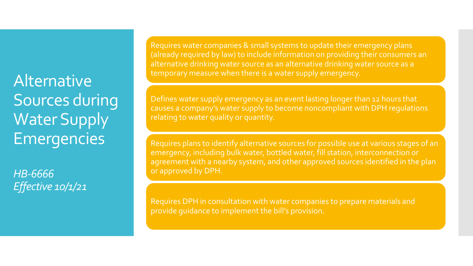**Alternative** Sources during Water Supply Emergencies

*HB-6666 Effective 10/1/21* Requires water companies & small systems to update their emergency plans (already required by law) to include information on providing their consumers an alternative drinking water source as an alternative drinking water source as a temporary measure when there is a water supply emergency.

Defines water supply emergency as an event lasting longer than 12 hours that causes a company's water supply to become noncompliant with DPH regulations relating to water quality or quantity.

Requires plans to identify alternative sources for possible use at various stages of an emergency, including bulk water, bottled water, fill station, interconnection or agreement with a nearby system, and other approved sources identified in the plan or approved by DPH.

Requires DPH in consultation with water companies to prepare materials and provide guidance to implement the bill's provision.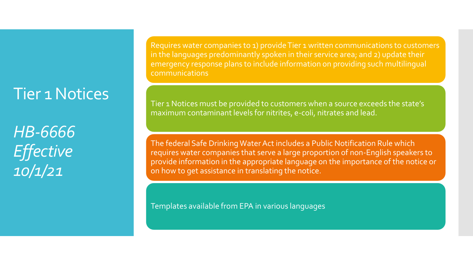#### Tier 1 Notices

*HB-6666 Effective 10/1/21*

Requires water companies to 1) provide Tier 1 written communications to customers in the languages predominantly spoken in their service area; and 2) update their emergency response plans to include information on providing such multilingual communications

Tier 1 Notices must be provided to customers when a source exceeds the state's maximum contaminant levels for nitrites, e-coli, nitrates and lead.

The federal Safe Drinking Water Act includes a Public Notification Rule which requires water companies that serve a large proportion of non-English speakers to provide information in the appropriate language on the importance of the notice or on how to get assistance in translating the notice.

Templates available from EPA in various languages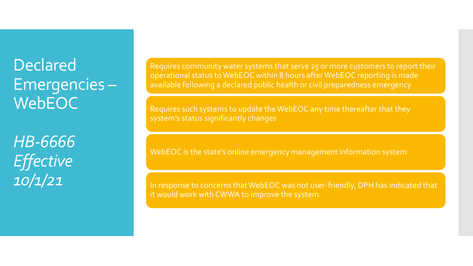### Declared Emergencies – WebEOC<sup>1</sup>

*HB-6666 Effective 10/1/21*

Requires community water systems that serve 25 or more customers to report their operational status to WebEOC within 8 hours after WebEOC reporting is made available following a declared public health or civil preparedness emergency

Requires such systems to update the WebEOC any time thereafter that they system's status significantly changes

WebEOC is the state's online emergency management information system

In response to concerns that WebEOC was not user-friendly, DPH has indicated that it would work with CWWA to improve the system.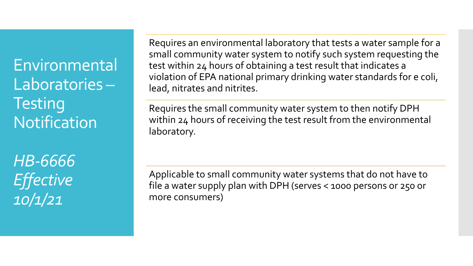Environmental Laboratories – **Testing Notification** 

*HB-6666 Effective 10/1/21*

Requires an environmental laboratory that tests a water sample for a small community water system to notify such system requesting the test within 24 hours of obtaining a test result that indicates a violation of EPA national primary drinking water standards for e coli, lead, nitrates and nitrites.

Requires the small community water system to then notify DPH within 24 hours of receiving the test result from the environmental laboratory.

Applicable to small community water systems that do not have to file a water supply plan with DPH (serves < 1000 persons or 250 or more consumers)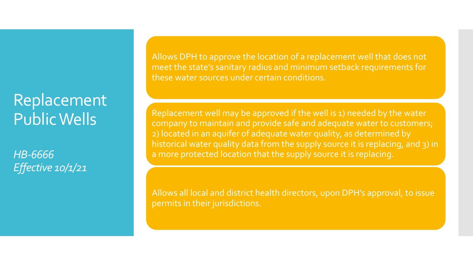#### Replacement Public Wells

*HB-6666 Effective 10/1/21*

Allows DPH to approve the location of a replacement well that does not meet the state's sanitary radius and minimum setback requirements for these water sources under certain conditions.

Replacement well may be approved if the well is 1) needed by the water company to maintain and provide safe and adequate water to customers; 2) located in an aquifer of adequate water quality, as determined by historical water quality data from the supply source it is replacing, and 3) in a more protected location that the supply source it is replacing.

Allows all local and district health directors, upon DPH's approval, to issue permits in their jurisdictions.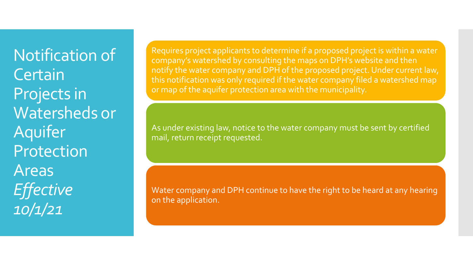Notification of **Certain** Projects in Watersheds or Aquifer Protection Areas *Effective 10/1/21*

Requires project applicants to determine if a proposed project is within a water company's watershed by consulting the maps on DPH's website and then notify the water company and DPH of the proposed project. Under current law, this notification was only required if the water company filed a watershed map or map of the aquifer protection area with the municipality.

As under existing law, notice to the water company must be sent by certified mail, return receipt requested.

Water company and DPH continue to have the right to be heard at any hearing on the application.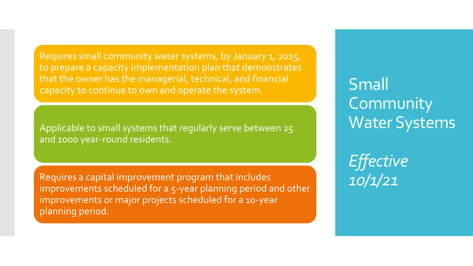Requires small community water systems, by January 1, 2025, to prepare a capacity implementation plan that demonstrates that the owner has the managerial, technical, and financial capacity to continue to own and operate the system.

Applicable to small systems that regularly serve between 25 and 1000 year-round residents.

Requires a capital improvement program that includes improvements scheduled for a 5-year planning period and other improvements or major projects scheduled for a 10-year planning period.

Small **Community** Water Systems

*Effective 10/1/21*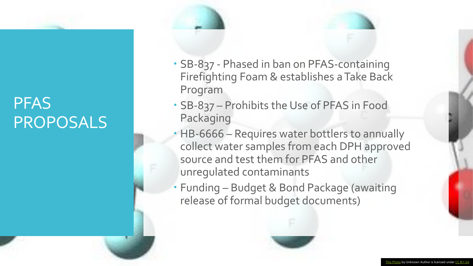#### PFAS PROPOSALS

- SB-837 Phased in ban on PFAS-containing Firefighting Foam & establishes a Take Back Program
- SB-837 Prohibits the Use of PFAS in Food Packaging
- HB-6666 Requires water bottlers to annually collect water samples from each DPH approved source and test them for PFAS and other unregulated contaminants
- Funding Budget & Bond Package (awaiting release of formal budget documents)